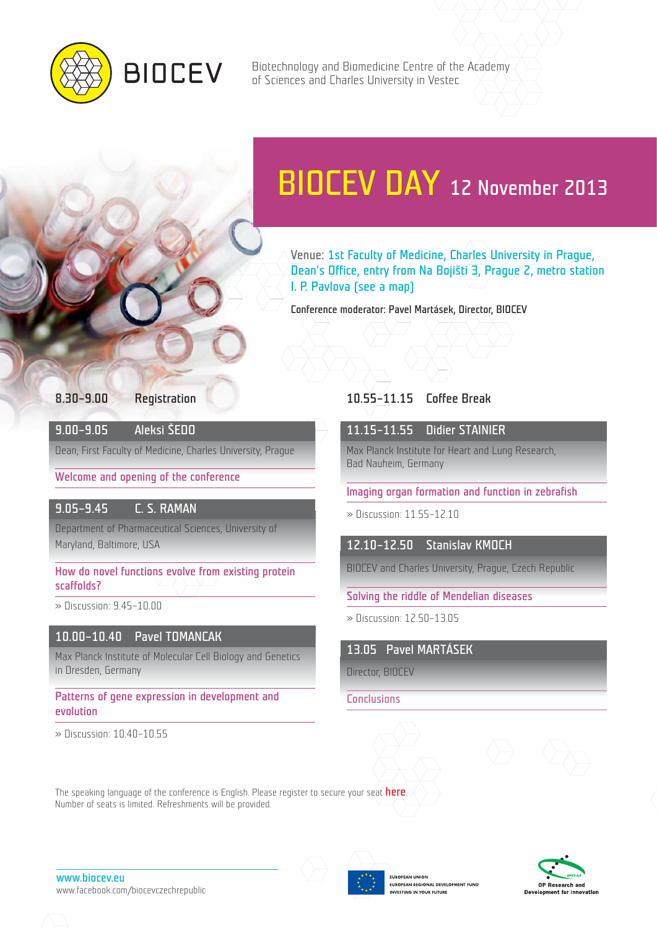

Biotechnology and Biomedicine Centre of the Academy of Sciences and Charles University in Vestec

# BIOCEV DAY 12 November 2013

Venue: 1st Faculty of Medicine, Charles University in Prague, Dean's Office, entry from Na Bojišti 3, Prague 2, metro station I. P. Pavlova (see a map)

Conference moderator: Pavel Martásek, Director, BIOCEV

#### 8.30–9.00 Registration

9.00–9.05 Aleksi ŠEDO

Dean, First Faculty of Medicine, Charles University, Prague

Welcome and opening of the conference

### 9.05–9.45 C. S. RAMAN

Department of Pharmaceutical Sciences, University of Maryland, Baltimore, USA

How do novel functions evolve from existing protein scaffolds?

» Discussion: 9.45–10.00

# 10.00–10.40 Pavel TOMANCAK

Max Planck Institute of Molecular Cell Biology and Genetics in Dresden, Germany

The speaking language of the conference is English. Please register to secure your seat **[here](http://www.biocev.eu/en/event/biocevday/).** 

Patterns of gene expression in development and evolution

Number of seats is limited. Refreshments will be provided.

» Discussion: 10.40–10.55

# 10.55–11.15 Coffee Break

# 11.15–11.55 Didier STAINIER

Max Planck Institute for Heart and Lung Research, Bad Nauheim, Germany

Imaging organ formation and function in zebrafish

» Discussion: 11.55–12.10

12.10–12.50 Stanislav KMOCH

BIOCEV and Charles University, Prague, Czech Republic

Solving the riddle of Mendelian diseases

» Discussion: 12.50–13.05

13.05 Pavel MARTÁSEK

Director, BIOCEV

**Conclusions** 





www.biocev.eu www.facebook.com/biocevczechrepublic